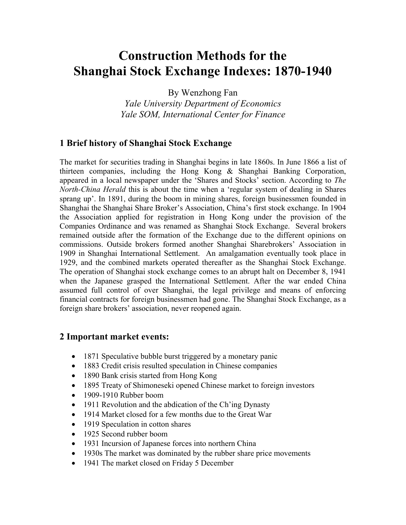# **Construction Methods for the Shanghai Stock Exchange Indexes: 1870-1940**

By Wenzhong Fan

*Yale University Department of Economics Yale SOM, International Center for Finance* 

# **1 Brief history of Shanghai Stock Exchange**

The market for securities trading in Shanghai begins in late 1860s. In June 1866 a list of thirteen companies, including the Hong Kong & Shanghai Banking Corporation, appeared in a local newspaper under the 'Shares and Stocks' section. According to *The North-China Herald* this is about the time when a 'regular system of dealing in Shares sprang up'. In 1891, during the boom in mining shares, foreign businessmen founded in Shanghai the Shanghai Share Broker's Association, China's first stock exchange. In 1904 the Association applied for registration in Hong Kong under the provision of the Companies Ordinance and was renamed as Shanghai Stock Exchange. Several brokers remained outside after the formation of the Exchange due to the different opinions on commissions. Outside brokers formed another Shanghai Sharebrokers' Association in 1909 in Shanghai International Settlement. An amalgamation eventually took place in 1929, and the combined markets operated thereafter as the Shanghai Stock Exchange. The operation of Shanghai stock exchange comes to an abrupt halt on December 8, 1941 when the Japanese grasped the International Settlement. After the war ended China assumed full control of over Shanghai, the legal privilege and means of enforcing financial contracts for foreign businessmen had gone. The Shanghai Stock Exchange, as a foreign share brokers' association, never reopened again.

## **2 Important market events:**

- 1871 Speculative bubble burst triggered by a monetary panic
- 1883 Credit crisis resulted speculation in Chinese companies
- 1890 Bank crisis started from Hong Kong
- 1895 Treaty of Shimoneseki opened Chinese market to foreign investors
- 1909-1910 Rubber boom
- 1911 Revolution and the abdication of the Ch'ing Dynasty
- 1914 Market closed for a few months due to the Great War
- 1919 Speculation in cotton shares
- 1925 Second rubber boom
- 1931 Incursion of Japanese forces into northern China
- 1930s The market was dominated by the rubber share price movements
- 1941 The market closed on Friday 5 December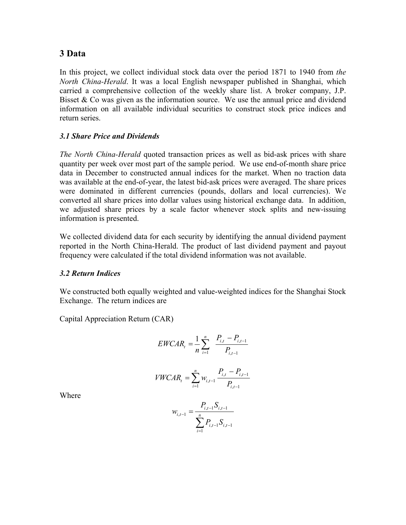## **3 Data**

In this project, we collect individual stock data over the period 1871 to 1940 from *the North China-Herald*. It was a local English newspaper published in Shanghai, which carried a comprehensive collection of the weekly share list. A broker company, J.P. Bisset  $\&$  Co was given as the information source. We use the annual price and dividend information on all available individual securities to construct stock price indices and return series.

#### *3.1 Share Price and Dividends*

*The North China-Herald* quoted transaction prices as well as bid-ask prices with share quantity per week over most part of the sample period. We use end-of-month share price data in December to constructed annual indices for the market. When no traction data was available at the end-of-year, the latest bid-ask prices were averaged. The share prices were dominated in different currencies (pounds, dollars and local currencies). We converted all share prices into dollar values using historical exchange data. In addition, we adjusted share prices by a scale factor whenever stock splits and new-issuing information is presented.

We collected dividend data for each security by identifying the annual dividend payment reported in the North China-Herald. The product of last dividend payment and payout frequency were calculated if the total dividend information was not available.

#### *3.2 Return Indices*

We constructed both equally weighted and value-weighted indices for the Shanghai Stock Exchange. The return indices are

Capital Appreciation Return (CAR)

$$
EWCAR_t = \frac{1}{n} \sum_{i=1}^{n} \frac{P_{i,t} - P_{i,t-1}}{P_{i,t-1}}
$$

$$
VWCAR_t = \sum_{i=1}^{n} w_{i,t-1} \frac{P_{i,t} - P_{i,t-1}}{P_{i,t-1}}
$$

Where

$$
w_{i,t-1} = \frac{P_{i,t-1} S_{i,t-1}}{\sum_{i=1}^{n} P_{i,t-1} S_{i,t-1}}
$$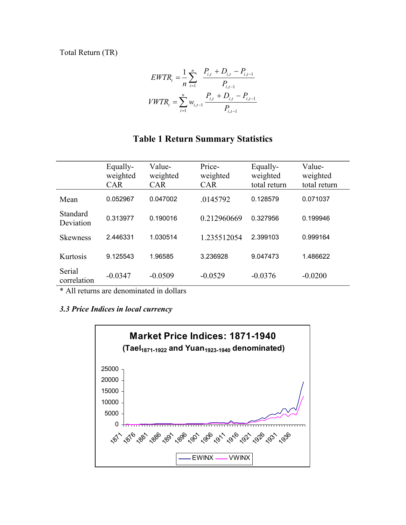Total Return (TR)

$$
EWTR_t = \frac{1}{n} \sum_{i=1}^n \frac{P_{i,t} + D_{i,t} - P_{i,t-1}}{P_{i,t-1}}
$$

$$
VWTR_t = \sum_{i=1}^n w_{i,t-1} \frac{P_{i,t} + D_{i,t} - P_{i,t-1}}{P_{i,t-1}}
$$

## **Table 1 Return Summary Statistics**

|                       | Equally-<br>weighted<br><b>CAR</b> | Value-<br>weighted<br><b>CAR</b> | Price-<br>weighted<br><b>CAR</b> | Equally-<br>weighted<br>total return | Value-<br>weighted<br>total return |
|-----------------------|------------------------------------|----------------------------------|----------------------------------|--------------------------------------|------------------------------------|
| Mean                  | 0.052967                           | 0.047002                         | .0145792                         | 0.128579                             | 0.071037                           |
| Standard<br>Deviation | 0.313977                           | 0.190016                         | 0.212960669                      | 0.327956                             | 0.199946                           |
| <b>Skewness</b>       | 2.446331                           | 1.030514                         | 1.235512054                      | 2.399103                             | 0.999164                           |
| Kurtosis              | 9.125543                           | 1.96585                          | 3.236928                         | 9.047473                             | 1.486622                           |
| Serial<br>correlation | $-0.0347$                          | $-0.0509$                        | $-0.0529$                        | $-0.0376$                            | $-0.0200$                          |

\* All returns are denominated in dollars

### *3.3 Price Indices in local currency*

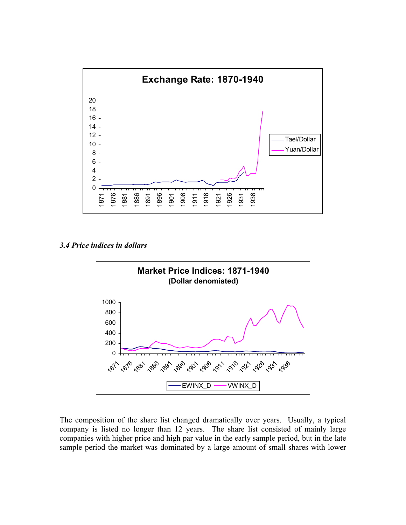

*3.4 Price indices in dollars* 



The composition of the share list changed dramatically over years. Usually, a typical company is listed no longer than 12 years. The share list consisted of mainly large companies with higher price and high par value in the early sample period, but in the late sample period the market was dominated by a large amount of small shares with lower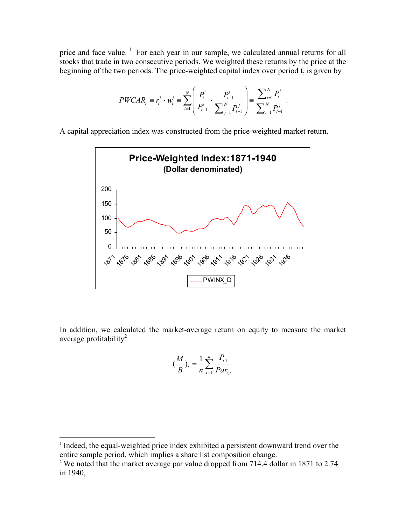price and face value.<sup>1</sup> For each year in our sample, we calculated annual returns for all stocks that trade in two consecutive periods. We weighted these returns by the price at the beginning of the two periods. The price-weighted capital index over period t, is given by

$$
PWCAR_t \equiv r_t^i \cdot w_t^i \equiv \sum_{i=1}^N \left( \frac{P_t^i}{P_{t-1}^i} \cdot \frac{P_{t-1}^i}{\sum_{j=1}^N P_{t-1}^j} \right) \equiv \frac{\sum_{i=1}^N P_t^i}{\sum_{i=1}^N P_{t-1}^j}.
$$

A capital appreciation index was constructed from the price-weighted market return.



In addition, we calculated the market-average return on equity to measure the market average profitability<sup>2</sup>.

$$
\left(\frac{M}{B}\right)_t = \frac{1}{n} \sum_{i=1}^n \frac{P_{i,t}}{Par_{i,t}}
$$

 $\overline{a}$ 

<sup>&</sup>lt;sup>1</sup> Indeed, the equal-weighted price index exhibited a persistent downward trend over the entire sample period, which implies a share list composition change.

<sup>&</sup>lt;sup>2</sup> We noted that the market average par value dropped from 714.4 dollar in 1871 to 2.74 in 1940,